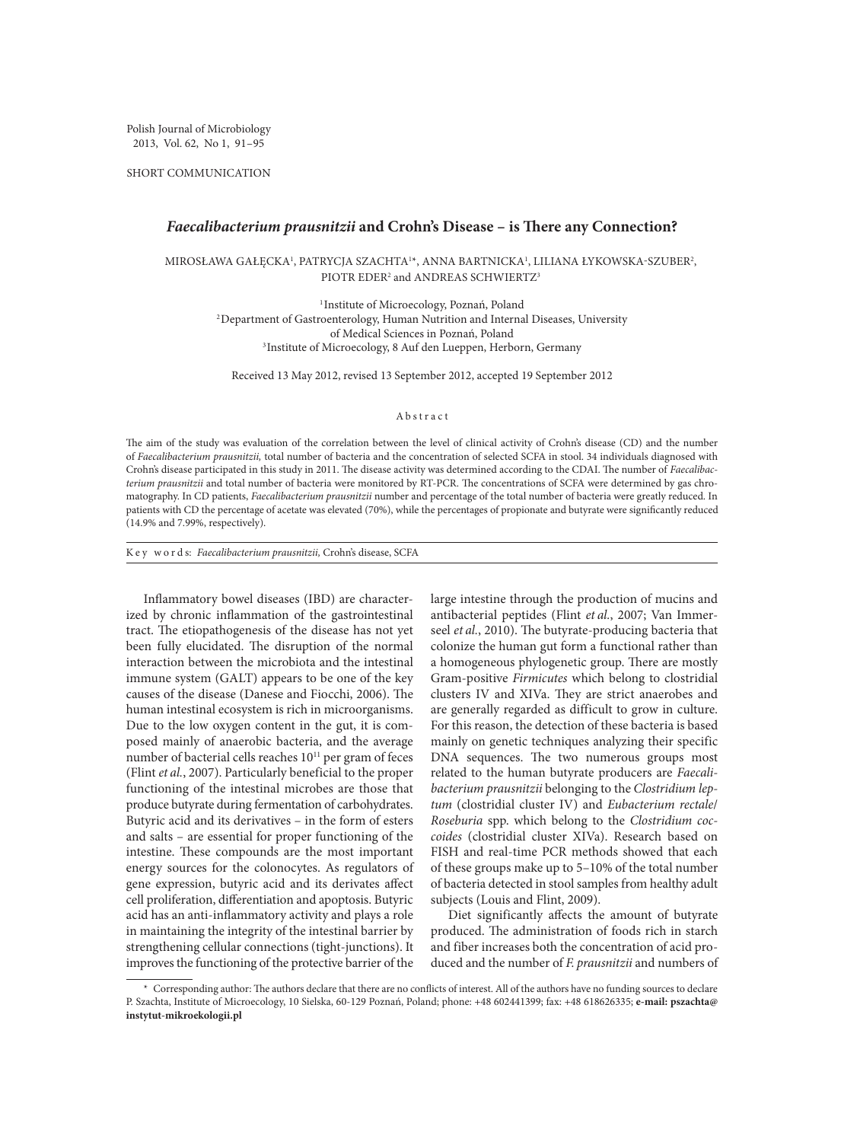Polish Journal of Microbiology 2013, Vol. 62, No 1, 91–95

SHORT COMMUNICATION

## *Faecalibacterium prausnitzii* **and Crohn's Disease – is There any Connection?**

MIROSŁAWA GAŁĘCKA', PATRYCJA SZACHTA'\*, ANNA BARTNICKA', LILIANA ŁYKOWSKA-SZUBER<sup>2</sup>, PIOTR EDER<sup>2</sup> and ANDREAS SCHWIERTZ<sup>3</sup>

<sup>1</sup> Institute of Microecology, Poznań, Poland 2Department of Gastroenterology, Human Nutrition and Internal Diseases, University of Medical Sciences in Poznań, Poland <sup>3</sup> Institute of Microecology, 8 Auf den Lueppen, Herborn, Germany

Received 13 May 2012, revised 13 September 2012, accepted 19 September 2012

## Abstract

The aim of the study was evaluation of the correlation between the level of clinical activity of Crohn's disease (CD) and the number of *Faecalibacterium prausnitzii,* total number of bacteria and the concentration of selected SCFA in stool. 34 individuals diagnosed with Crohn's disease participated in this study in 2011. The disease activity was determined according to the CDAI. The number of *Faecalibacterium prausnitzii* and total number of bacteria were monitored by RT-PCR. The concentrations of SCFA were determined by gas chromatography. In CD patients, *Faecalibacterium prausnitzii* number and percentage of the total number of bacteria were greatly reduced. In patients with CD the percentage of acetate was elevated (70%), while the percentages of propionate and butyrate were significantly reduced (14.9% and 7.99%, respectively).

K e y w o r d s: *Faecalibacterium prausnitzii,* Crohn's disease, SCFA

Inflammatory bowel diseases (IBD) are characterized by chronic inflammation of the gastrointestinal tract. The etiopathogenesis of the disease has not yet been fully elucidated. The disruption of the normal interaction between the microbiota and the intestinal immune system (GALT) appears to be one of the key causes of the disease (Danese and Fiocchi, 2006). The human intestinal ecosystem is rich in microorganisms. Due to the low oxygen content in the gut, it is composed mainly of anaerobic bacteria, and the average number of bacterial cells reaches 10<sup>11</sup> per gram of feces (Flint *et al.*, 2007). Particularly beneficial to the proper functioning of the intestinal microbes are those that produce butyrate during fermentation of carbohydrates. Butyric acid and its derivatives – in the form of esters and salts – are essential for proper functioning of the intestine. These compounds are the most important energy sources for the colonocytes. As regulators of gene expression, butyric acid and its derivates affect cell proliferation, differentiation and apoptosis. Butyric acid has an anti-inflammatory activity and plays a role in maintaining the integrity of the intestinal barrier by strengthening cellular connections (tight-junctions). It improves the functioning of the protective barrier of the large intestine through the production of mucins and antibacterial peptides (Flint *et al.*, 2007; Van Immerseel *et al.*, 2010). The butyrate-producing bacteria that colonize the human gut form a functional rather than a homogeneous phylogenetic group. There are mostly Gram-positive *Firmicutes* which belong to clostridial clusters IV and XIVa. They are strict anaerobes and are generally regarded as difficult to grow in culture. For this reason, the detection of these bacteria is based mainly on genetic techniques analyzing their specific DNA sequences. The two numerous groups most related to the human butyrate producers are *Faecalibacterium prausnitzii* belonging to the *Clostridium leptum* (clostridial cluster IV) and *Eubacterium rectale*/ *Roseburia* spp. which belong to the *Clostridium coccoides* (clostridial cluster XIVa). Research based on FISH and real-time PCR methods showed that each of these groups make up to 5–10% of the total number of bacteria detected in stool samples from healthy adult subjects (Louis and Flint, 2009).

Diet significantly affects the amount of butyrate produced. The administration of foods rich in starch and fiber increases both the concentration of acid produced and the number of *F. prausnitzii* and numbers of

<sup>\*</sup> Corresponding author: The authors declare that there are no conflicts of interest. All of the authors have no funding sources to declare P. Szachta, Institute of Microecology, 10 Sielska, 60-129 Poznań, Poland; phone: +48 602441399; fax: +48 618626335; **e-mail: pszachta@ instytut-mikroekologii.pl**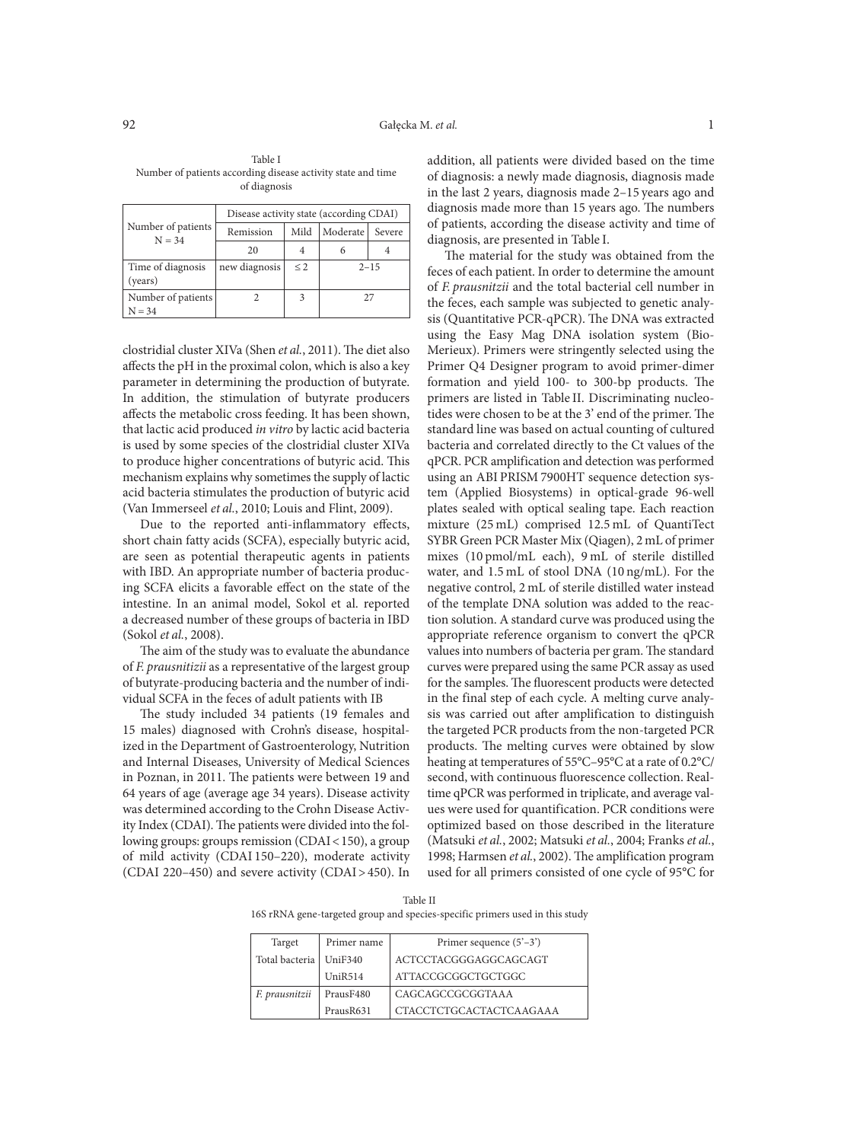| Table I                                                      |  |
|--------------------------------------------------------------|--|
| Number of patients according disease activity state and time |  |
| of diagnosis                                                 |  |

| Number of patients<br>$N = 34$ | Disease activity state (according CDAI) |          |          |        |  |  |  |  |
|--------------------------------|-----------------------------------------|----------|----------|--------|--|--|--|--|
|                                | Remission                               | Mild     | Moderate | Severe |  |  |  |  |
|                                | 20                                      |          |          |        |  |  |  |  |
| Time of diagnosis<br>(years)   | new diagnosis                           | $\leq$ 2 | $2 - 15$ |        |  |  |  |  |
| Number of patients<br>$N = 34$ |                                         | 3        | 27       |        |  |  |  |  |

clostridial cluster XIVa (Shen *et al.*, 2011). The diet also affects the pH in the proximal colon, which is also a key parameter in determining the production of butyrate. In addition, the stimulation of butyrate producers affects the metabolic cross feeding. It has been shown, that lactic acid produced *in vitro* by lactic acid bacteria is used by some species of the clostridial cluster XIVa to produce higher concentrations of butyric acid. This mechanism explains why sometimes the supply of lactic acid bacteria stimulates the production of butyric acid (Van Immerseel *et al.*, 2010; Louis and Flint, 2009).

Due to the reported anti-inflammatory effects, short chain fatty acids (SCFA), especially butyric acid, are seen as potential therapeutic agents in patients with IBD. An appropriate number of bacteria producing SCFA elicits a favorable effect on the state of the intestine. In an animal model, Sokol et al. reported a decreased number of these groups of bacteria in IBD (Sokol *et al.*, 2008).

The aim of the study was to evaluate the abundance of *F. prausnitizii* as a representative of the largest group of butyrate-producing bacteria and the number of individual SCFA in the feces of adult patients with IB

The study included 34 patients (19 females and 15 males) diagnosed with Crohn's disease, hospitalized in the Department of Gastroenterology, Nutrition and Internal Diseases, University of Medical Sciences in Poznan, in 2011. The patients were between 19 and 64 years of age (average age 34 years). Disease activity was determined according to the Crohn Disease Activity Index (CDAI). The patients were divided into the following groups: groups remission (CDAI < 150), a group of mild activity (CDAI 150–220), moderate activity (CDAI 220–450) and severe activity (CDAI>450). In addition, all patients were divided based on the time of diagnosis: a newly made diagnosis, diagnosis made in the last 2 years, diagnosis made 2–15 years ago and diagnosis made more than 15 years ago. The numbers of patients, according the disease activity and time of diagnosis, are presented in Table I.

The material for the study was obtained from the feces of each patient. In order to determine the amount of *F. prausnitzii* and the total bacterial cell number in the feces, each sample was subjected to genetic analysis (Quantitative PCR-qPCR). The DNA was extracted using the Easy Mag DNA isolation system (Bio-Merieux). Primers were stringently selected using the Primer Q4 Designer program to avoid primer-dimer formation and yield 100- to 300-bp products. The primers are listed in Table II. Discriminating nucleotides were chosen to be at the 3' end of the primer. The standard line was based on actual counting of cultured bacteria and correlated directly to the Ct values of the qPCR. PCR amplification and detection was performed using an ABI PRISM 7900HT sequence detection system (Applied Biosystems) in optical-grade 96-well plates sealed with optical sealing tape. Each reaction mixture (25 mL) comprised 12.5 mL of QuantiTect SYBR Green PCR Master Mix (Qiagen), 2 mL of primer mixes (10 pmol/mL each), 9 mL of sterile distilled water, and 1.5 mL of stool DNA (10 ng/mL). For the negative control, 2 mL of sterile distilled water instead of the template DNA solution was added to the reaction solution. A standard curve was produced using the appropriate reference organism to convert the qPCR values into numbers of bacteria per gram. The standard curves were prepared using the same PCR assay as used for the samples. The fluorescent products were detected in the final step of each cycle. A melting curve analysis was carried out after amplification to distinguish the targeted PCR products from the non-targeted PCR products. The melting curves were obtained by slow heating at temperatures of 55°C–95°C at a rate of 0.2°C/ second, with continuous fluorescence collection. Realtime qPCR was performed in triplicate, and average values were used for quantification. PCR conditions were optimized based on those described in the literature (Matsuki *et al.*, 2002; Matsuki *et al.*, 2004; Franks *et al.*, 1998; Harmsen *et al.*, 2002). The amplification program used for all primers consisted of one cycle of 95°C for

Table II 16S rRNA gene-targeted group and species-specific primers used in this study

| Target         | Primer name | Primer sequence $(5'-3')$ |
|----------------|-------------|---------------------------|
| Total bacteria | Unif340     | ACTCCTACGGGAGGCAGCAGT     |
|                | UniR514     | ATTACCGCGGCTGCTGGC        |
| F. prausnitzii | PrausF480   | CAGCAGCCGCGGTAAA          |
|                | PrausR631   | CTACCTCTGCACTACTCAAGAAA   |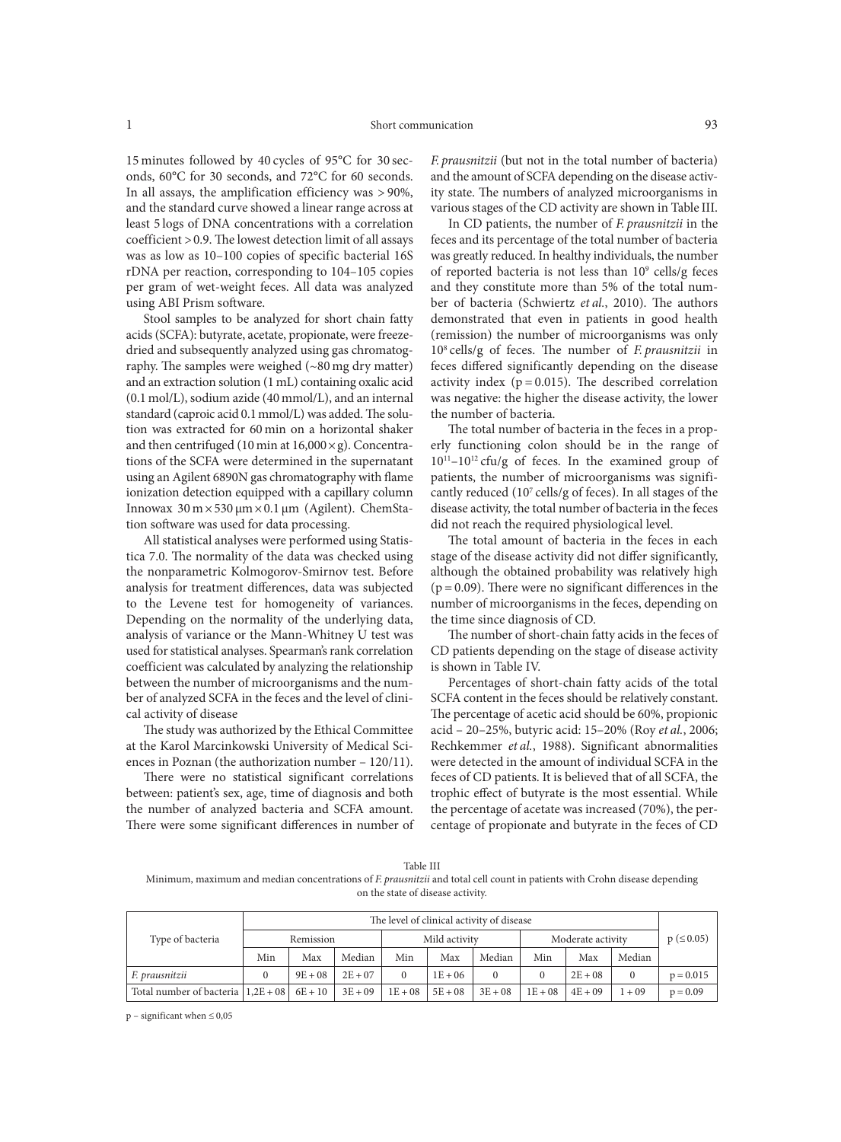15 minutes followed by 40 cycles of 95°C for 30 seconds, 60°C for 30 seconds, and 72°C for 60 seconds. In all assays, the amplification efficiency was > 90%, and the standard curve showed a linear range across at least 5 logs of DNA concentrations with a correlation coefficient >0.9. The lowest detection limit of all assays was as low as 10–100 copies of specific bacterial 16S rDNA per reaction, corresponding to 104–105 copies per gram of wet-weight feces. All data was analyzed using ABI Prism software.

Stool samples to be analyzed for short chain fatty acids (SCFA): butyrate, acetate, propionate, were freezedried and subsequently analyzed using gas chromatography. The samples were weighed (~80 mg dry matter) and an extraction solution (1 mL) containing oxalic acid (0.1 mol/L), sodium azide (40 mmol/L), and an internal standard (caproic acid 0.1mmol/L) was added. The solution was extracted for 60 min on a horizontal shaker and then centrifuged (10 min at  $16,000 \times g$ ). Concentrations of the SCFA were determined in the supernatant using an Agilent 6890N gas chromatography with flame ionization detection equipped with a capillary column Innowax  $30 \text{ m} \times 530 \text{ μm} \times 0.1 \text{ μm}$  (Agilent). ChemStation software was used for data processing.

All statistical analyses were performed using Statistica 7.0. The normality of the data was checked using the nonparametric Kolmogorov-Smirnov test. Before analysis for treatment differences, data was subjected to the Levene test for homogeneity of variances. Depending on the normality of the underlying data, analysis of variance or the Mann-Whitney U test was used for statistical analyses. Spearman's rank correlation coefficient was calculated by analyzing the relationship between the number of microorganisms and the number of analyzed SCFA in the feces and the level of clinical activity of disease

The study was authorized by the Ethical Committee at the Karol Marcinkowski University of Medical Sciences in Poznan (the authorization number – 120/11).

There were no statistical significant correlations between: patient's sex, age, time of diagnosis and both the number of analyzed bacteria and SCFA amount. There were some significant differences in number of

*F. prausnitzii* (but not in the total number of bacteria) and the amount of SCFA depending on the disease activity state. The numbers of analyzed microorganisms in various stages of the CD activity are shown in Table III.

In CD patients, the number of *F. prausnitzii* in the feces and its percentage of the total number of bacteria was greatly reduced. In healthy individuals, the number of reported bacteria is not less than  $10^9$  cells/g feces and they constitute more than 5% of the total number of bacteria (Schwiertz *et al.*, 2010). The authors demonstrated that even in patients in good health (remission) the number of microorganisms was only 108 cells/g of feces. The number of *F. prausnitzii* in feces differed significantly depending on the disease activity index ( $p = 0.015$ ). The described correlation was negative: the higher the disease activity, the lower the number of bacteria.

The total number of bacteria in the feces in a properly functioning colon should be in the range of  $10^{11}$ – $10^{12}$  cfu/g of feces. In the examined group of patients, the number of microorganisms was significantly reduced  $(10<sup>7</sup>$  cells/g of feces). In all stages of the disease activity, the total number of bacteria in the feces did not reach the required physiological level.

The total amount of bacteria in the feces in each stage of the disease activity did not differ significantly, although the obtained probability was relatively high  $(p = 0.09)$ . There were no significant differences in the number of microorganisms in the feces, depending on the time since diagnosis of CD.

The number of short-chain fatty acids in the feces of CD patients depending on the stage of disease activity is shown in Table IV.

Percentages of short-chain fatty acids of the total SCFA content in the feces should be relatively constant. The percentage of acetic acid should be 60%, propionic acid – 20–25%, butyric acid: 15–20% (Roy *et al.*, 2006; Rechkemmer *et al.*, 1988). Significant abnormalities were detected in the amount of individual SCFA in the feces of CD patients. It is believed that of all SCFA, the trophic effect of butyrate is the most essential. While the percentage of acetate was increased (70%), the percentage of propionate and butyrate in the feces of CD

Table III Minimum, maximum and median concentrations of *F. prausnitzii* and total cell count in patients with Crohn disease depending on the state of disease activity.

|                                              | The level of clinical activity of disease |           |           |               |           |           |                   |           |          |               |
|----------------------------------------------|-------------------------------------------|-----------|-----------|---------------|-----------|-----------|-------------------|-----------|----------|---------------|
| Type of bacteria                             | Remission                                 |           |           | Mild activity |           |           | Moderate activity |           |          | $p \leq 0.05$ |
|                                              | Min                                       | Max       | Median    | Min           | Max       | Median    | Min               | Max       | Median   |               |
| F. prausnitzii                               |                                           | $9E + 08$ | $2E + 07$ |               | $1E + 06$ |           |                   | $2E + 08$ | $\theta$ | $p = 0.015$   |
| Total number of bacteria $ 1,2E+08 $ 6E + 10 |                                           |           | $3E + 09$ | $1E+08$       | $5E + 08$ | $3E + 08$ | $1E + 08$         | $4E + 09$ | $1 + 09$ | $p = 0.09$    |

 $p$  – significant when  $\leq 0.05$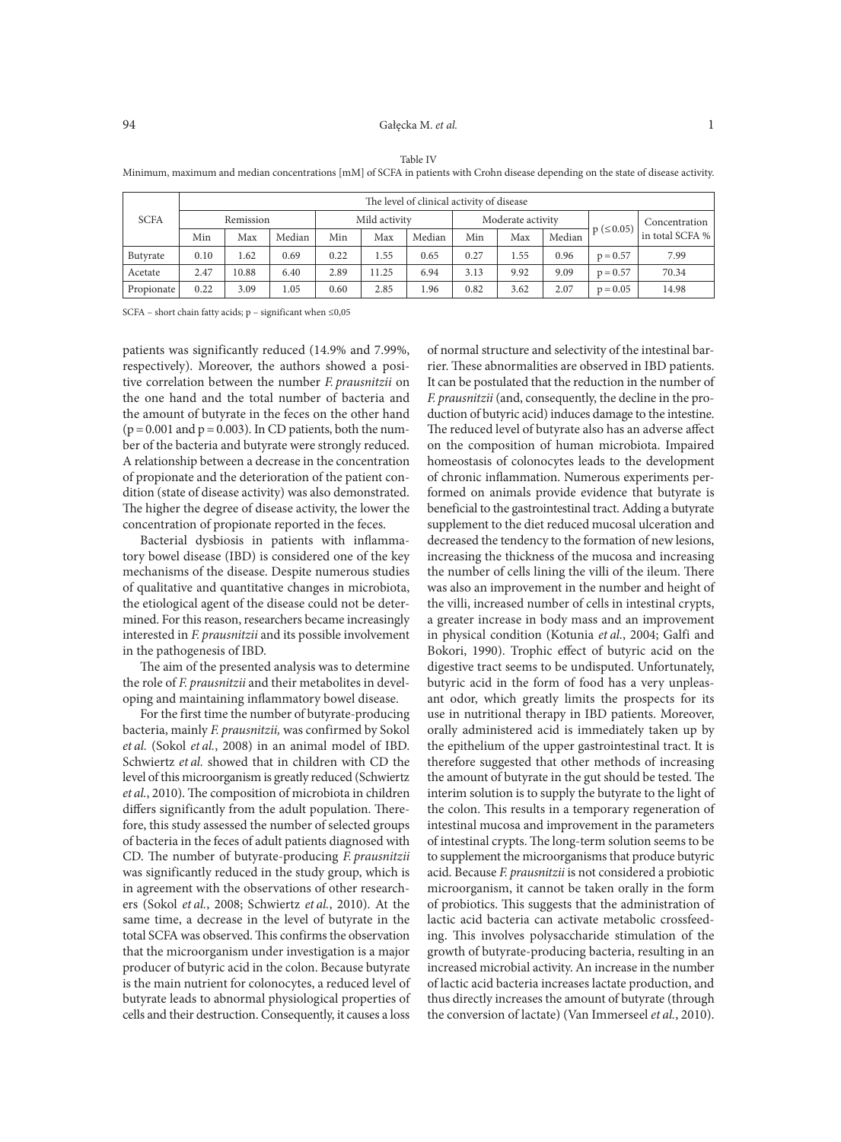## 94 Gałęcka M. *et al.* 1

| <b>SCFA</b> | The level of clinical activity of disease |       |        |               |       |        |                   |      |        |               |                 |  |
|-------------|-------------------------------------------|-------|--------|---------------|-------|--------|-------------------|------|--------|---------------|-----------------|--|
|             | Remission                                 |       |        | Mild activity |       |        | Moderate activity |      |        |               | Concentration   |  |
|             | Min                                       | Max   | Median | Min           | Max   | Median | Min               | Max  | Median | $p \leq 0.05$ | in total SCFA % |  |
| Butyrate    | 0.10                                      | 1.62  | 0.69   | 0.22          | 1.55  | 0.65   | 0.27              | 1.55 | 0.96   | $p = 0.57$    | 7.99            |  |
| Acetate     | 2.47                                      | 10.88 | 6.40   | 2.89          | 11.25 | 6.94   | 3.13              | 9.92 | 9.09   | $p = 0.57$    | 70.34           |  |
| Propionate  | 0.22                                      | 3.09  | 1.05   | 0.60          | 2.85  | 1.96   | 0.82              | 3.62 | 2.07   | $p = 0.05$    | 14.98           |  |

Table IV

Minimum, maximum and median concentrations [mM] of SCFA in patients with Crohn disease depending on the state of disease activity.

SCFA – short chain fatty acids;  $p$  – significant when  $\leq 0.05$ 

patients was significantly reduced (14.9% and 7.99%, respectively). Moreover, the authors showed a positive correlation between the number *F. prausnitzii* on the one hand and the total number of bacteria and the amount of butyrate in the feces on the other hand  $(p=0.001$  and  $p=0.003$ ). In CD patients, both the number of the bacteria and butyrate were strongly reduced. A relationship between a decrease in the concentration of propionate and the deterioration of the patient condition (state of disease activity) was also demonstrated. The higher the degree of disease activity, the lower the concentration of propionate reported in the feces.

Bacterial dysbiosis in patients with inflammatory bowel disease (IBD) is considered one of the key mechanisms of the disease. Despite numerous studies of qualitative and quantitative changes in microbiota, the etiological agent of the disease could not be determined. For this reason, researchers became increasingly interested in *F. prausnitzii* and its possible involvement in the pathogenesis of IBD.

The aim of the presented analysis was to determine the role of *F. prausnitzii* and their metabolites in developing and maintaining inflammatory bowel disease.

For the first time the number of butyrate-producing bacteria, mainly *F. prausnitzii,* was confirmed by Sokol *et al.* (Sokol *et al.*, 2008) in an animal model of IBD. Schwiertz *et al.* showed that in children with CD the level of this microorganism is greatly reduced (Schwiertz *et al.*, 2010). The composition of microbiota in children differs significantly from the adult population. Therefore, this study assessed the number of selected groups of bacteria in the feces of adult patients diagnosed with CD. The number of butyrate-producing *F. prausnitzii* was significantly reduced in the study group, which is in agreement with the observations of other researchers (Sokol *et al.*, 2008; Schwiertz *et al.*, 2010). At the same time, a decrease in the level of butyrate in the total SCFA was observed. This confirms the observation that the microorganism under investigation is a major producer of butyric acid in the colon. Because butyrate is the main nutrient for colonocytes, a reduced level of butyrate leads to abnormal physiological properties of cells and their destruction. Consequently, it causes a loss

of normal structure and selectivity of the intestinal barrier. These abnormalities are observed in IBD patients. It can be postulated that the reduction in the number of *F. prausnitzii* (and, consequently, the decline in the production of butyric acid) induces damage to the intestine. The reduced level of butyrate also has an adverse affect on the composition of human microbiota. Impaired homeostasis of colonocytes leads to the development of chronic inflammation. Numerous experiments performed on animals provide evidence that butyrate is beneficial to the gastrointestinal tract. Adding a butyrate supplement to the diet reduced mucosal ulceration and decreased the tendency to the formation of new lesions, increasing the thickness of the mucosa and increasing the number of cells lining the villi of the ileum. There was also an improvement in the number and height of the villi, increased number of cells in intestinal crypts, a greater increase in body mass and an improvement in physical condition (Kotunia *et al.*, 2004; Galfi and Bokori, 1990). Trophic effect of butyric acid on the digestive tract seems to be undisputed. Unfortunately, butyric acid in the form of food has a very unpleasant odor, which greatly limits the prospects for its use in nutritional therapy in IBD patients. Moreover, orally administered acid is immediately taken up by the epithelium of the upper gastrointestinal tract. It is therefore suggested that other methods of increasing the amount of butyrate in the gut should be tested. The interim solution is to supply the butyrate to the light of the colon. This results in a temporary regeneration of intestinal mucosa and improvement in the parameters of intestinal crypts. The long-term solution seems to be to supplement the microorganisms that produce butyric acid. Because *F. prausnitzii* is not considered a probiotic microorganism, it cannot be taken orally in the form of probiotics. This suggests that the administration of lactic acid bacteria can activate metabolic crossfeeding. This involves polysaccharide stimulation of the growth of butyrate-producing bacteria, resulting in an increased microbial activity. An increase in the number of lactic acid bacteria increases lactate production, and thus directly increases the amount of butyrate (through the conversion of lactate) (Van Immerseel *et al.*, 2010).